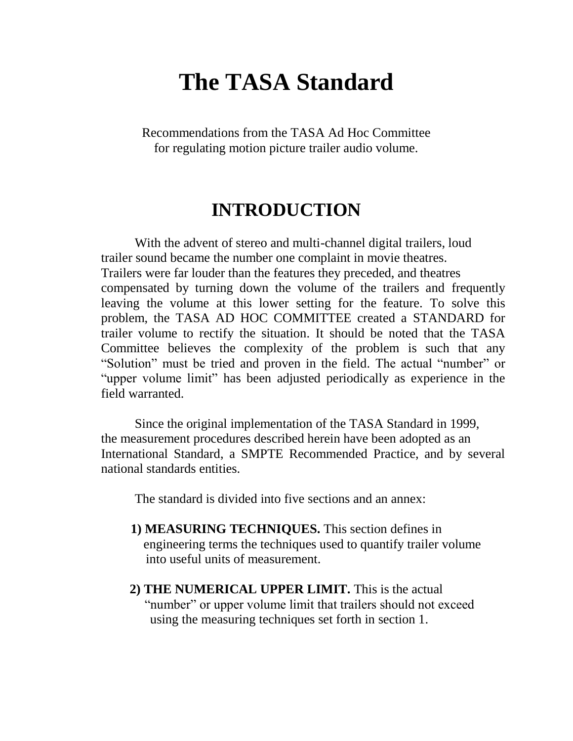# **The TASA Standard**

Recommendations from the TASA Ad Hoc Committee for regulating motion picture trailer audio volume.

## **INTRODUCTION**

With the advent of stereo and multi-channel digital trailers, loud trailer sound became the number one complaint in movie theatres. Trailers were far louder than the features they preceded, and theatres compensated by turning down the volume of the trailers and frequently leaving the volume at this lower setting for the feature. To solve this problem, the TASA AD HOC COMMITTEE created a STANDARD for trailer volume to rectify the situation. It should be noted that the TASA Committee believes the complexity of the problem is such that any "Solution" must be tried and proven in the field. The actual "number" or "upper volume limit" has been adjusted periodically as experience in the field warranted.

Since the original implementation of the TASA Standard in 1999, the measurement procedures described herein have been adopted as an International Standard, a SMPTE Recommended Practice, and by several national standards entities.

The standard is divided into five sections and an annex:

- **1) MEASURING TECHNIQUES.** This section defines in engineering terms the techniques used to quantify trailer volume into useful units of measurement.
- **2) THE NUMERICAL UPPER LIMIT.** This is the actual "number" or upper volume limit that trailers should not exceed using the measuring techniques set forth in section 1.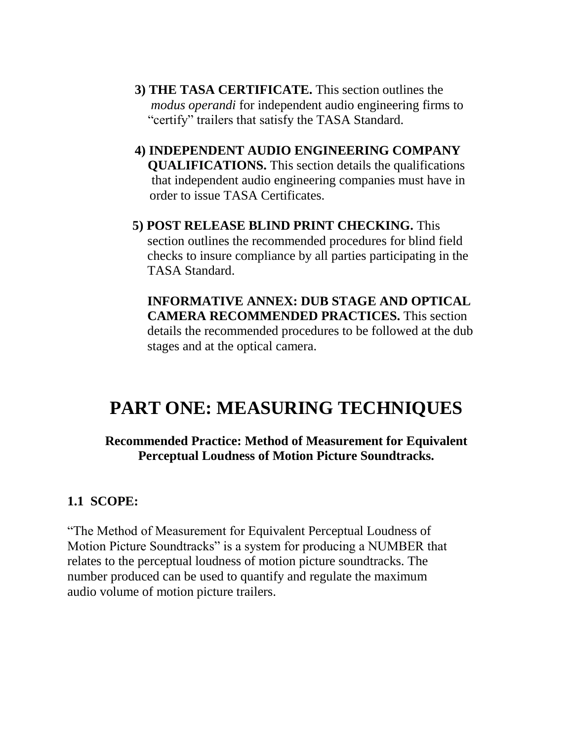- **3) THE TASA CERTIFICATE.** This section outlines the  *modus operandi* for independent audio engineering firms to "certify" trailers that satisfy the TASA Standard.
- **4) INDEPENDENT AUDIO ENGINEERING COMPANY QUALIFICATIONS.** This section details the qualifications that independent audio engineering companies must have in order to issue TASA Certificates.
- **5) POST RELEASE BLIND PRINT CHECKING.** This section outlines the recommended procedures for blind field checks to insure compliance by all parties participating in the TASA Standard.

**INFORMATIVE ANNEX: DUB STAGE AND OPTICAL CAMERA RECOMMENDED PRACTICES.** This section details the recommended procedures to be followed at the dub stages and at the optical camera.

# **PART ONE: MEASURING TECHNIQUES**

#### **Recommended Practice: Method of Measurement for Equivalent Perceptual Loudness of Motion Picture Soundtracks.**

## **1.1 SCOPE:**

"The Method of Measurement for Equivalent Perceptual Loudness of Motion Picture Soundtracks" is a system for producing a NUMBER that relates to the perceptual loudness of motion picture soundtracks. The number produced can be used to quantify and regulate the maximum audio volume of motion picture trailers.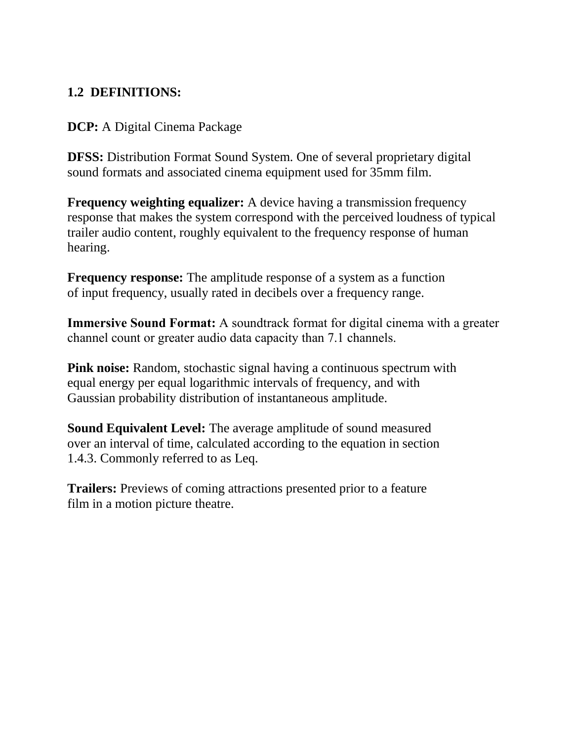## **1.2 DEFINITIONS:**

#### **DCP:** A Digital Cinema Package

**DFSS:** Distribution Format Sound System. One of several proprietary digital sound formats and associated cinema equipment used for 35mm film.

**Frequency weighting equalizer:** A device having a transmission frequency response that makes the system correspond with the perceived loudness of typical trailer audio content, roughly equivalent to the frequency response of human hearing.

**Frequency response:** The amplitude response of a system as a function of input frequency, usually rated in decibels over a frequency range.

**Immersive Sound Format:** A soundtrack format for digital cinema with a greater channel count or greater audio data capacity than 7.1 channels.

**Pink noise:** Random, stochastic signal having a continuous spectrum with equal energy per equal logarithmic intervals of frequency, and with Gaussian probability distribution of instantaneous amplitude.

**Sound Equivalent Level:** The average amplitude of sound measured over an interval of time, calculated according to the equation in section 1.4.3. Commonly referred to as Leq.

**Trailers:** Previews of coming attractions presented prior to a feature film in a motion picture theatre.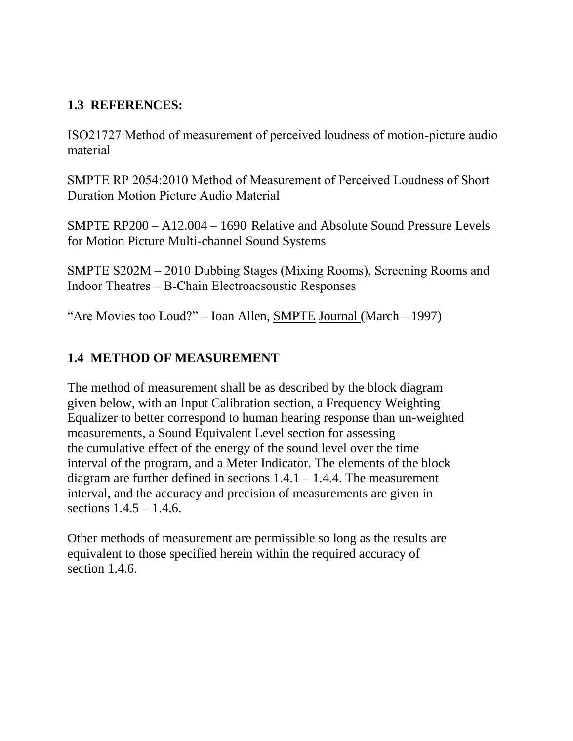#### **1.3 REFERENCES:**

ISO21727 Method of measurement of perceived loudness of motion-picture audio material

SMPTE RP 2054:2010 Method of Measurement of Perceived Loudness of Short Duration Motion Picture Audio Material

SMPTE RP200 – A12.004 – 1690 Relative and Absolute Sound Pressure Levels for Motion Picture Multi-channel Sound Systems

SMPTE S202M – 2010 Dubbing Stages (Mixing Rooms), Screening Rooms and Indoor Theatres – B-Chain Electroacsoustic Responses

"Are Movies too Loud?" – Ioan Allen, SMPTE Journal (March – 1997)

#### **1.4 METHOD OF MEASUREMENT**

The method of measurement shall be as described by the block diagram given below, with an Input Calibration section, a Frequency Weighting Equalizer to better correspond to human hearing response than un-weighted measurements, a Sound Equivalent Level section for assessing the cumulative effect of the energy of the sound level over the time interval of the program, and a Meter Indicator. The elements of the block diagram are further defined in sections  $1.4.1 - 1.4.4$ . The measurement interval, and the accuracy and precision of measurements are given in sections 1.4.5 – 1.4.6.

Other methods of measurement are permissible so long as the results are equivalent to those specified herein within the required accuracy of section 1.4.6.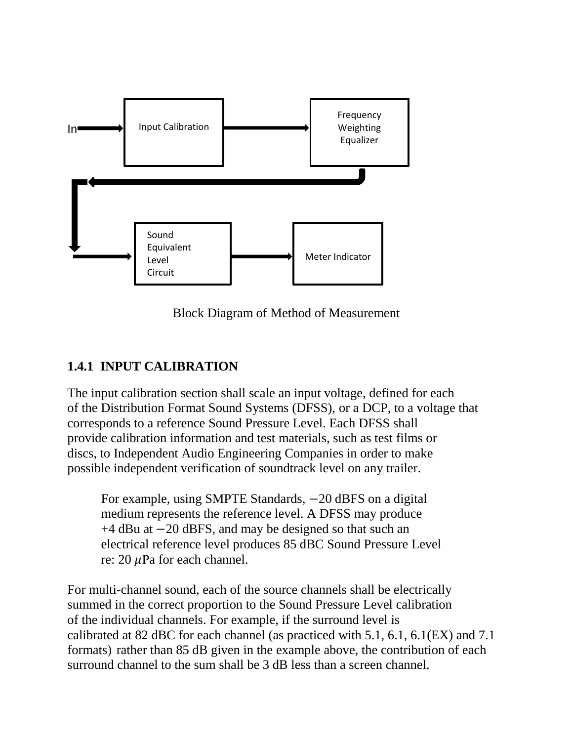

Block Diagram of Method of Measurement

## **1.4.1 INPUT CALIBRATION**

The input calibration section shall scale an input voltage, defined for each of the Distribution Format Sound Systems (DFSS), or a DCP, to a voltage that corresponds to a reference Sound Pressure Level. Each DFSS shall provide calibration information and test materials, such as test films or discs, to Independent Audio Engineering Companies in order to make possible independent verification of soundtrack level on any trailer.

For example, using SMPTE Standards,  $-20$  dBFS on a digital medium represents the reference level. A DFSS may produce +4 dBu at −20 dBFS, and may be designed so that such an electrical reference level produces 85 dBC Sound Pressure Level re:  $20 \mu Pa$  for each channel.

For multi-channel sound, each of the source channels shall be electrically summed in the correct proportion to the Sound Pressure Level calibration of the individual channels. For example, if the surround level is calibrated at 82 dBC for each channel (as practiced with 5.1, 6.1, 6.1(EX) and 7.1 formats) rather than 85 dB given in the example above, the contribution of each surround channel to the sum shall be 3 dB less than a screen channel.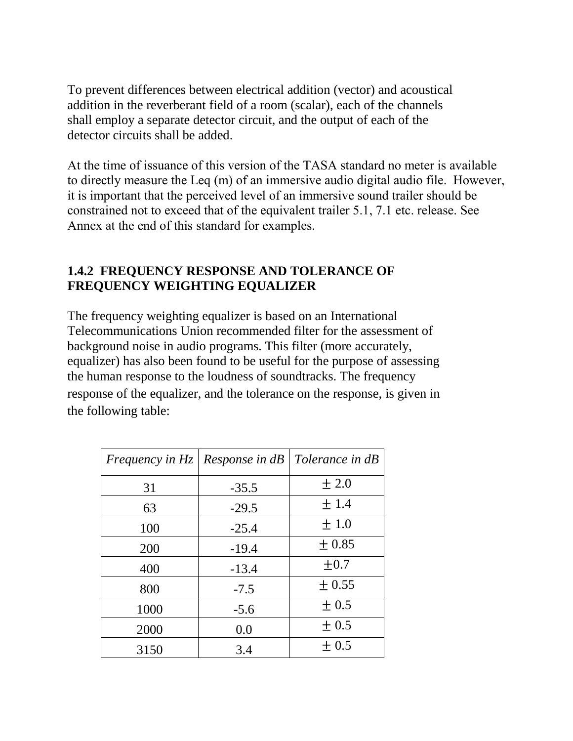To prevent differences between electrical addition (vector) and acoustical addition in the reverberant field of a room (scalar), each of the channels shall employ a separate detector circuit, and the output of each of the detector circuits shall be added.

At the time of issuance of this version of the TASA standard no meter is available to directly measure the Leq (m) of an immersive audio digital audio file. However, it is important that the perceived level of an immersive sound trailer should be constrained not to exceed that of the equivalent trailer 5.1, 7.1 etc. release. See Annex at the end of this standard for examples.

#### **1.4.2 FREQUENCY RESPONSE AND TOLERANCE OF FREQUENCY WEIGHTING EQUALIZER**

The frequency weighting equalizer is based on an International Telecommunications Union recommended filter for the assessment of background noise in audio programs. This filter (more accurately, equalizer) has also been found to be useful for the purpose of assessing the human response to the loudness of soundtracks. The frequency response of the equalizer, and the tolerance on the response, is given in the following table:

| Frequency in Hz   Response in $dB$ |         | Tolerance in dB |
|------------------------------------|---------|-----------------|
| 31                                 | $-35.5$ | ± 2.0           |
| 63                                 | $-29.5$ | ±1.4            |
| 100                                | $-25.4$ | ±1.0            |
| 200                                | $-19.4$ | $\pm 0.85$      |
| 400                                | $-13.4$ | $\pm 0.7$       |
| 800                                | $-7.5$  | $\pm$ 0.55      |
| 1000                               | $-5.6$  | $\pm 0.5$       |
| 2000                               | 0.0     | $\pm 0.5$       |
| 3150                               | 3.4     | $\pm 0.5$       |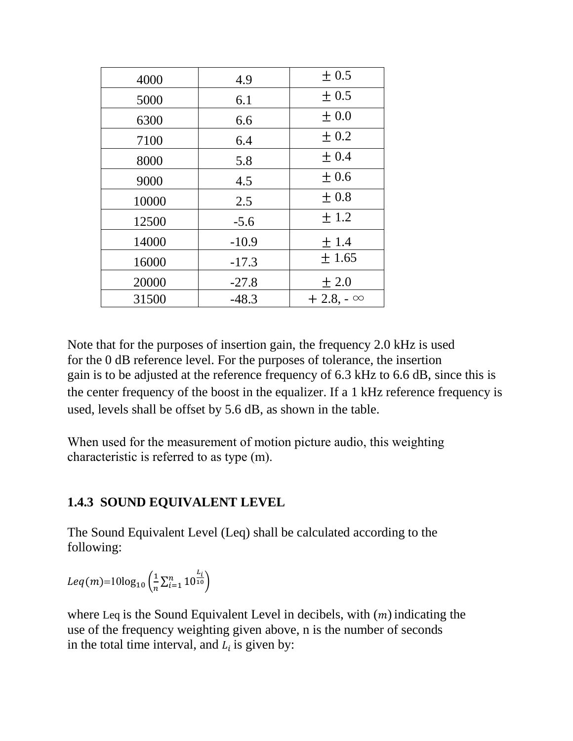| 4000  | 4.9     | $\pm 0.5$       |
|-------|---------|-----------------|
| 5000  | 6.1     | $\pm 0.5$       |
| 6300  | 6.6     | $\pm 0.0$       |
| 7100  | 6.4     | $\pm 0.2$       |
| 8000  | 5.8     | ± 0.4           |
| 9000  | 4.5     | ±0.6            |
| 10000 | 2.5     | ± 0.8           |
| 12500 | $-5.6$  | ± 1.2           |
| 14000 | $-10.9$ | ±1.4            |
| 16000 | $-17.3$ | $\pm 1.65$      |
| 20000 | $-27.8$ | ± 2.0           |
| 31500 | $-48.3$ | $+2.8 - \infty$ |

Note that for the purposes of insertion gain, the frequency 2.0 kHz is used for the 0 dB reference level. For the purposes of tolerance, the insertion gain is to be adjusted at the reference frequency of 6.3 kHz to 6.6 dB, since this is the center frequency of the boost in the equalizer. If a 1 kHz reference frequency is used, levels shall be offset by 5.6 dB, as shown in the table.

When used for the measurement of motion picture audio, this weighting characteristic is referred to as type (m).

## **1.4.3 SOUND EQUIVALENT LEVEL**

The Sound Equivalent Level (Leq) shall be calculated according to the following:

$$
Leq(m)=10\log_{10}\left(\frac{1}{n}\sum_{i=1}^{n}10^{\frac{L_i}{10}}\right)
$$

where Leq is the Sound Equivalent Level in decibels, with  $(m)$  indicating the use of the frequency weighting given above, n is the number of seconds in the total time interval, and  $L_i$  is given by: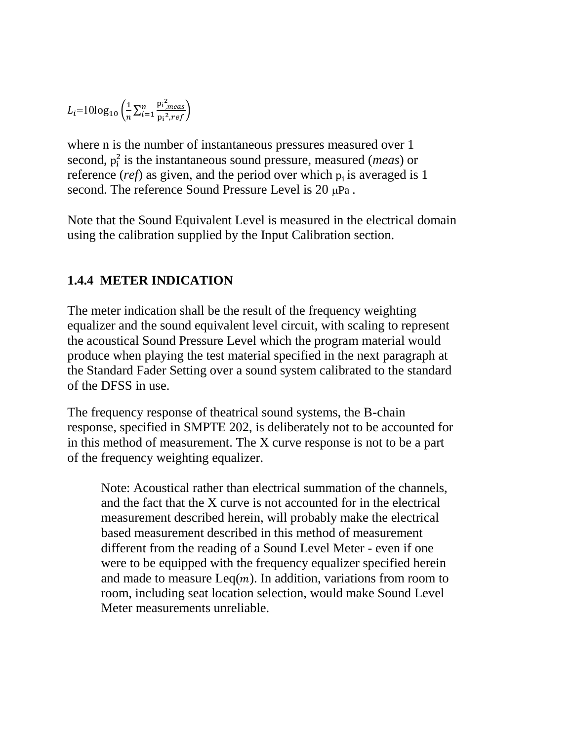$$
L_i = 10\log_{10}\left(\frac{1}{n}\sum_{i=1}^n \frac{{\bf p_i}_{,meas}^2}{{\bf p_i}^2,ref}\right)
$$

where n is the number of instantaneous pressures measured over 1 second,  $p_i^2$  is the instantaneous sound pressure, measured (*meas*) or reference (*ref*) as given, and the period over which  $p_i$  is averaged is 1 second. The reference Sound Pressure Level is  $20 \mu Pa$ .

Note that the Sound Equivalent Level is measured in the electrical domain using the calibration supplied by the Input Calibration section.

#### **1.4.4 METER INDICATION**

The meter indication shall be the result of the frequency weighting equalizer and the sound equivalent level circuit, with scaling to represent the acoustical Sound Pressure Level which the program material would produce when playing the test material specified in the next paragraph at the Standard Fader Setting over a sound system calibrated to the standard of the DFSS in use.

The frequency response of theatrical sound systems, the B-chain response, specified in SMPTE 202, is deliberately not to be accounted for in this method of measurement. The X curve response is not to be a part of the frequency weighting equalizer.

Note: Acoustical rather than electrical summation of the channels, and the fact that the X curve is not accounted for in the electrical measurement described herein, will probably make the electrical based measurement described in this method of measurement different from the reading of a Sound Level Meter - even if one were to be equipped with the frequency equalizer specified herein and made to measure  $\text{Leg}(m)$ . In addition, variations from room to room, including seat location selection, would make Sound Level Meter measurements unreliable.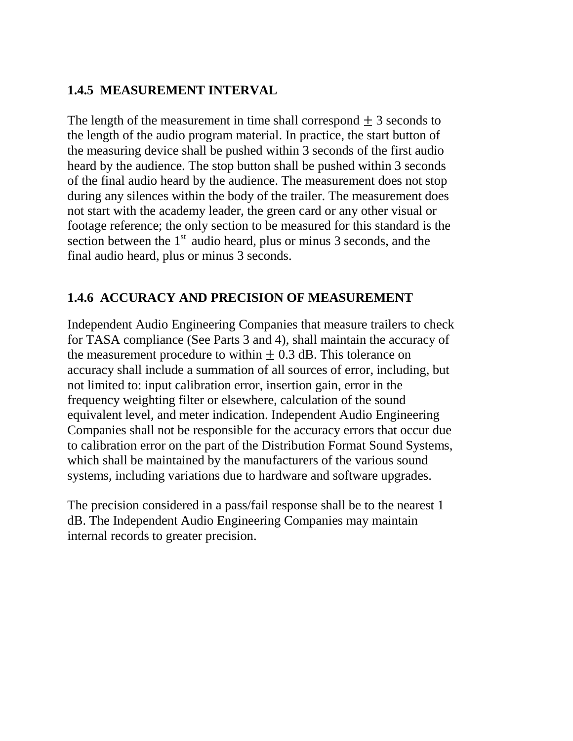#### **1.4.5 MEASUREMENT INTERVAL**

The length of the measurement in time shall correspond  $\pm$  3 seconds to the length of the audio program material. In practice, the start button of the measuring device shall be pushed within 3 seconds of the first audio heard by the audience. The stop button shall be pushed within 3 seconds of the final audio heard by the audience. The measurement does not stop during any silences within the body of the trailer. The measurement does not start with the academy leader, the green card or any other visual or footage reference; the only section to be measured for this standard is the section between the  $1<sup>st</sup>$  audio heard, plus or minus 3 seconds, and the final audio heard, plus or minus 3 seconds.

#### **1.4.6 ACCURACY AND PRECISION OF MEASUREMENT**

Independent Audio Engineering Companies that measure trailers to check for TASA compliance (See Parts 3 and 4), shall maintain the accuracy of the measurement procedure to within  $\pm$  0.3 dB. This tolerance on accuracy shall include a summation of all sources of error, including, but not limited to: input calibration error, insertion gain, error in the frequency weighting filter or elsewhere, calculation of the sound equivalent level, and meter indication. Independent Audio Engineering Companies shall not be responsible for the accuracy errors that occur due to calibration error on the part of the Distribution Format Sound Systems, which shall be maintained by the manufacturers of the various sound systems, including variations due to hardware and software upgrades.

The precision considered in a pass/fail response shall be to the nearest 1 dB. The Independent Audio Engineering Companies may maintain internal records to greater precision.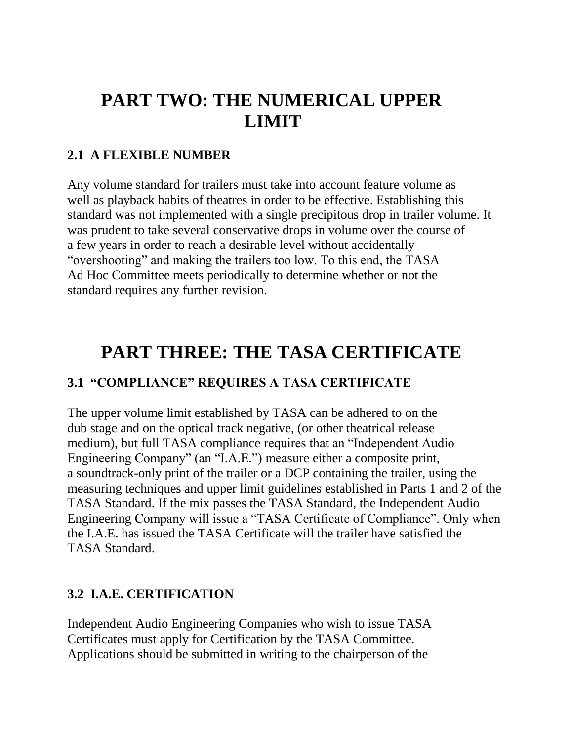# **PART TWO: THE NUMERICAL UPPER LIMIT**

#### **2.1 A FLEXIBLE NUMBER**

Any volume standard for trailers must take into account feature volume as well as playback habits of theatres in order to be effective. Establishing this standard was not implemented with a single precipitous drop in trailer volume. It was prudent to take several conservative drops in volume over the course of a few years in order to reach a desirable level without accidentally "overshooting" and making the trailers too low. To this end, the TASA Ad Hoc Committee meets periodically to determine whether or not the standard requires any further revision.

# **PART THREE: THE TASA CERTIFICATE**

## **3.1 "COMPLIANCE" REQUIRES A TASA CERTIFICATE**

The upper volume limit established by TASA can be adhered to on the dub stage and on the optical track negative, (or other theatrical release medium), but full TASA compliance requires that an "Independent Audio Engineering Company" (an "I.A.E.") measure either a composite print, a soundtrack-only print of the trailer or a DCP containing the trailer, using the measuring techniques and upper limit guidelines established in Parts 1 and 2 of the TASA Standard. If the mix passes the TASA Standard, the Independent Audio Engineering Company will issue a "TASA Certificate of Compliance". Only when the I.A.E. has issued the TASA Certificate will the trailer have satisfied the TASA Standard.

#### **3.2 I.A.E. CERTIFICATION**

Independent Audio Engineering Companies who wish to issue TASA Certificates must apply for Certification by the TASA Committee. Applications should be submitted in writing to the chairperson of the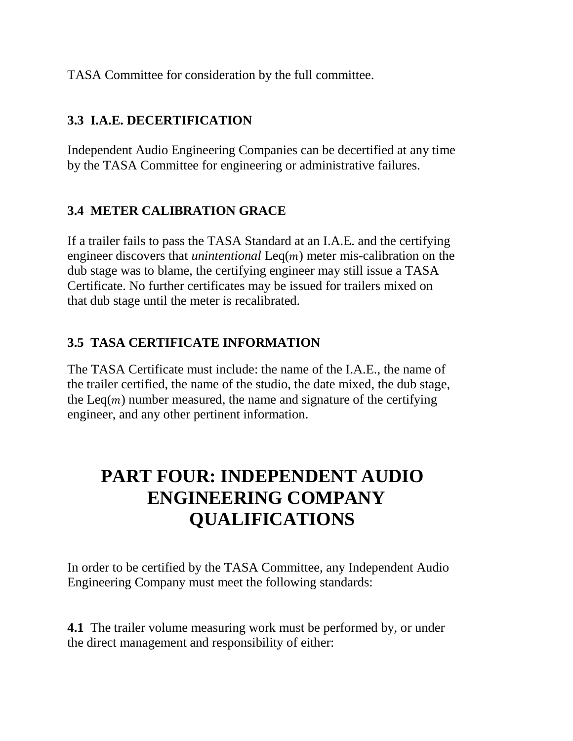TASA Committee for consideration by the full committee.

## **3.3 I.A.E. DECERTIFICATION**

Independent Audio Engineering Companies can be decertified at any time by the TASA Committee for engineering or administrative failures.

## **3.4 METER CALIBRATION GRACE**

If a trailer fails to pass the TASA Standard at an I.A.E. and the certifying engineer discovers that *unintentional*  $\text{Leq}(m)$  meter mis-calibration on the dub stage was to blame, the certifying engineer may still issue a TASA Certificate. No further certificates may be issued for trailers mixed on that dub stage until the meter is recalibrated.

#### **3.5 TASA CERTIFICATE INFORMATION**

The TASA Certificate must include: the name of the I.A.E., the name of the trailer certified, the name of the studio, the date mixed, the dub stage, the Leq( $m$ ) number measured, the name and signature of the certifying engineer, and any other pertinent information.

# **PART FOUR: INDEPENDENT AUDIO ENGINEERING COMPANY QUALIFICATIONS**

In order to be certified by the TASA Committee, any Independent Audio Engineering Company must meet the following standards:

**4.1** The trailer volume measuring work must be performed by, or under the direct management and responsibility of either: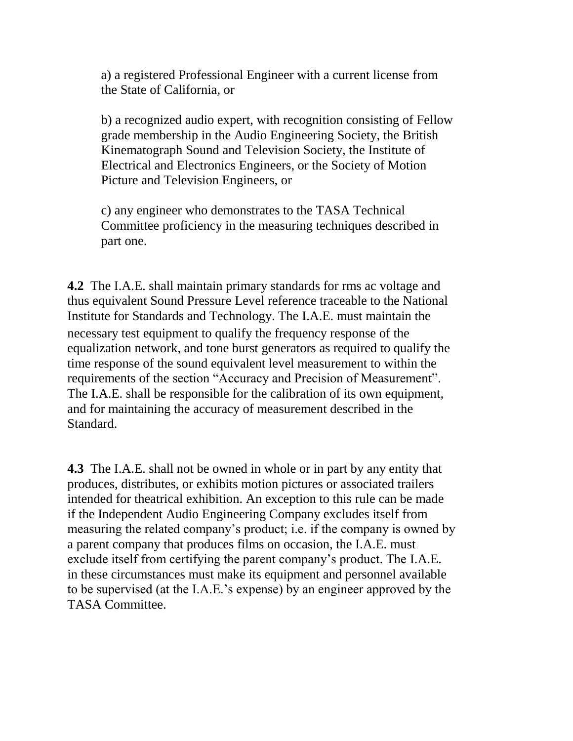a) a registered Professional Engineer with a current license from the State of California, or

b) a recognized audio expert, with recognition consisting of Fellow grade membership in the Audio Engineering Society, the British Kinematograph Sound and Television Society, the Institute of Electrical and Electronics Engineers, or the Society of Motion Picture and Television Engineers, or

c) any engineer who demonstrates to the TASA Technical Committee proficiency in the measuring techniques described in part one.

**4.2** The I.A.E. shall maintain primary standards for rms ac voltage and thus equivalent Sound Pressure Level reference traceable to the National Institute for Standards and Technology. The I.A.E. must maintain the necessary test equipment to qualify the frequency response of the equalization network, and tone burst generators as required to qualify the time response of the sound equivalent level measurement to within the requirements of the section "Accuracy and Precision of Measurement". The I.A.E. shall be responsible for the calibration of its own equipment, and for maintaining the accuracy of measurement described in the Standard.

**4.3** The I.A.E. shall not be owned in whole or in part by any entity that produces, distributes, or exhibits motion pictures or associated trailers intended for theatrical exhibition. An exception to this rule can be made if the Independent Audio Engineering Company excludes itself from measuring the related company's product; i.e. if the company is owned by a parent company that produces films on occasion, the I.A.E. must exclude itself from certifying the parent company's product. The I.A.E. in these circumstances must make its equipment and personnel available to be supervised (at the I.A.E.'s expense) by an engineer approved by the TASA Committee.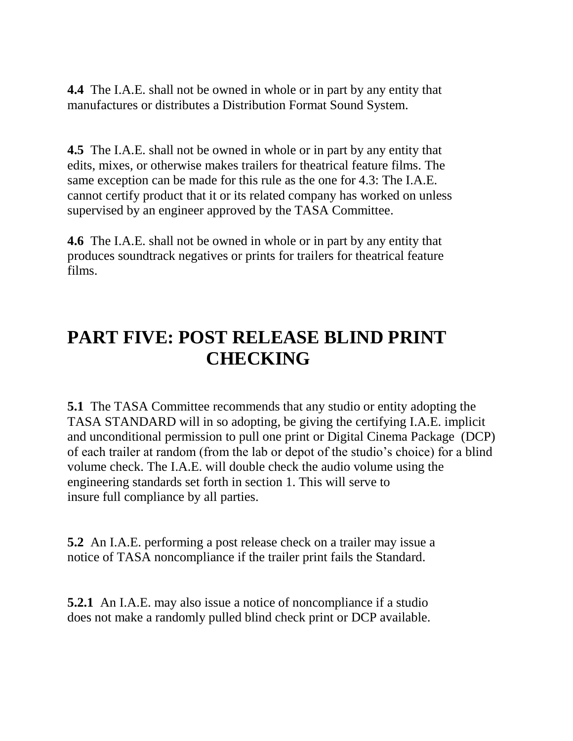**4.4** The I.A.E. shall not be owned in whole or in part by any entity that manufactures or distributes a Distribution Format Sound System.

**4.5** The I.A.E. shall not be owned in whole or in part by any entity that edits, mixes, or otherwise makes trailers for theatrical feature films. The same exception can be made for this rule as the one for 4.3: The I.A.E. cannot certify product that it or its related company has worked on unless supervised by an engineer approved by the TASA Committee.

**4.6** The I.A.E. shall not be owned in whole or in part by any entity that produces soundtrack negatives or prints for trailers for theatrical feature films.

# **PART FIVE: POST RELEASE BLIND PRINT CHECKING**

**5.1** The TASA Committee recommends that any studio or entity adopting the TASA STANDARD will in so adopting, be giving the certifying I.A.E. implicit and unconditional permission to pull one print or Digital Cinema Package (DCP) of each trailer at random (from the lab or depot of the studio's choice) for a blind volume check. The I.A.E. will double check the audio volume using the engineering standards set forth in section 1. This will serve to insure full compliance by all parties.

**5.2** An I.A.E. performing a post release check on a trailer may issue a notice of TASA noncompliance if the trailer print fails the Standard.

**5.2.1** An I.A.E. may also issue a notice of noncompliance if a studio does not make a randomly pulled blind check print or DCP available.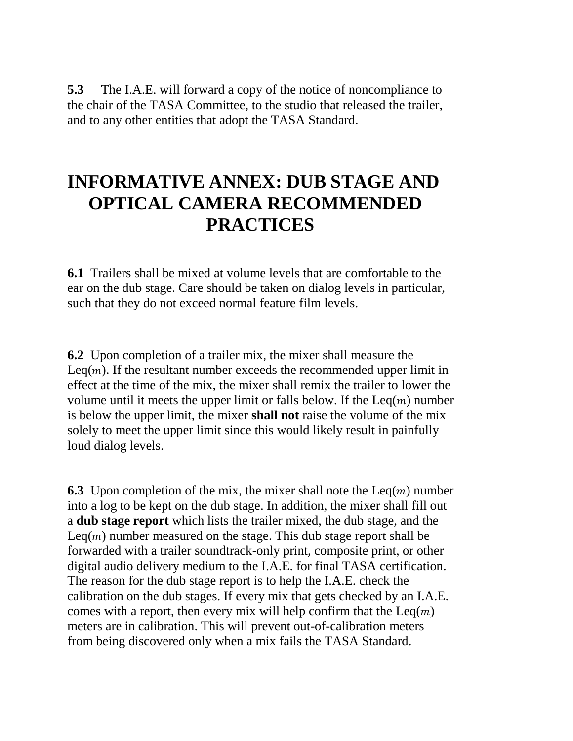**5.3** The I.A.E. will forward a copy of the notice of noncompliance to the chair of the TASA Committee, to the studio that released the trailer, and to any other entities that adopt the TASA Standard.

# **INFORMATIVE ANNEX: DUB STAGE AND OPTICAL CAMERA RECOMMENDED PRACTICES**

**6.1** Trailers shall be mixed at volume levels that are comfortable to the ear on the dub stage. Care should be taken on dialog levels in particular, such that they do not exceed normal feature film levels.

**6.2** Upon completion of a trailer mix, the mixer shall measure the Leq( $m$ ). If the resultant number exceeds the recommended upper limit in effect at the time of the mix, the mixer shall remix the trailer to lower the volume until it meets the upper limit or falls below. If the  $\text{Leq}(m)$  number is below the upper limit, the mixer **shall not** raise the volume of the mix solely to meet the upper limit since this would likely result in painfully loud dialog levels.

**6.3** Upon completion of the mix, the mixer shall note the  $\text{Leq}(m)$  number into a log to be kept on the dub stage. In addition, the mixer shall fill out a **dub stage report** which lists the trailer mixed, the dub stage, and the Leq( $m$ ) number measured on the stage. This dub stage report shall be forwarded with a trailer soundtrack-only print, composite print, or other digital audio delivery medium to the I.A.E. for final TASA certification. The reason for the dub stage report is to help the I.A.E. check the calibration on the dub stages. If every mix that gets checked by an I.A.E. comes with a report, then every mix will help confirm that the  $\text{Leq}(m)$ meters are in calibration. This will prevent out-of-calibration meters from being discovered only when a mix fails the TASA Standard.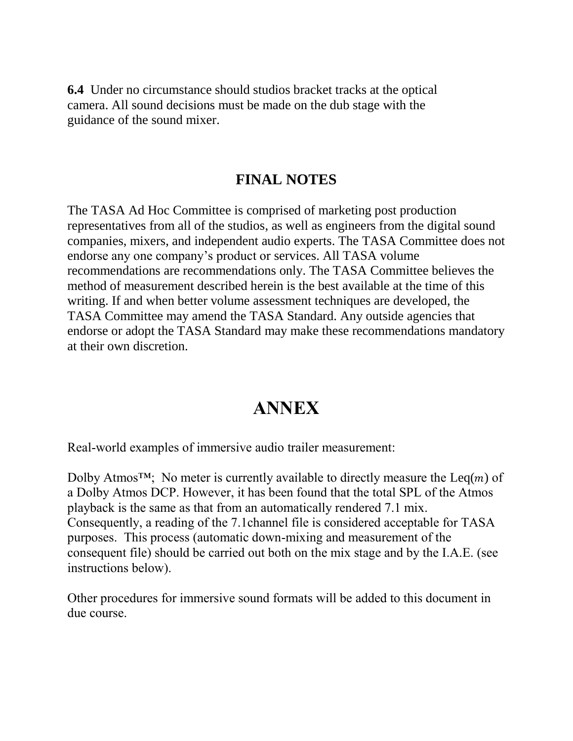**6.4** Under no circumstance should studios bracket tracks at the optical camera. All sound decisions must be made on the dub stage with the guidance of the sound mixer.

#### **FINAL NOTES**

The TASA Ad Hoc Committee is comprised of marketing post production representatives from all of the studios, as well as engineers from the digital sound companies, mixers, and independent audio experts. The TASA Committee does not endorse any one company's product or services. All TASA volume recommendations are recommendations only. The TASA Committee believes the method of measurement described herein is the best available at the time of this writing. If and when better volume assessment techniques are developed, the TASA Committee may amend the TASA Standard. Any outside agencies that endorse or adopt the TASA Standard may make these recommendations mandatory at their own discretion.

## **ANNEX**

Real-world examples of immersive audio trailer measurement:

Dolby Atmos<sup>TM</sup>; No meter is currently available to directly measure the Leq(*m*) of a Dolby Atmos DCP. However, it has been found that the total SPL of the Atmos playback is the same as that from an automatically rendered 7.1 mix. Consequently, a reading of the 7.1channel file is considered acceptable for TASA purposes. This process (automatic down-mixing and measurement of the consequent file) should be carried out both on the mix stage and by the I.A.E. (see instructions below).

Other procedures for immersive sound formats will be added to this document in due course.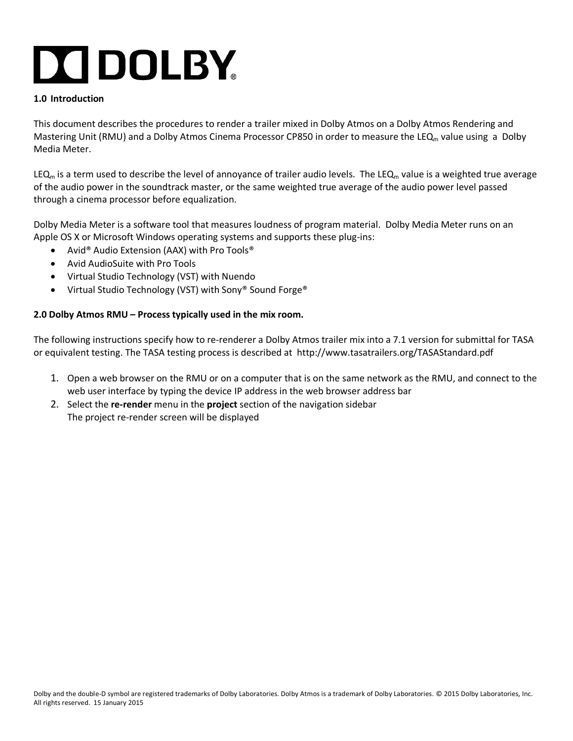# **DO DOLBY**

#### **1.0 Introduction**

This document describes the procedures to render a trailer mixed in Dolby Atmos on a Dolby Atmos Rendering and Mastering Unit (RMU) and a Dolby Atmos Cinema Processor CP850 in order to measure the LEQ<sub>m</sub> value using a Dolby Media Meter.

LEQ<sub>m</sub> is a term used to describe the level of annoyance of trailer audio levels. The LEQ<sub>m</sub> value is a weighted true average of the audio power in the soundtrack master, or the same weighted true average of the audio power level passed through a cinema processor before equalization.

Dolby Media Meter is a software tool that measures loudness of program material. Dolby Media Meter runs on an Apple OS X or Microsoft Windows operating systems and supports these plug-ins:

- Avid® Audio Extension (AAX) with Pro Tools®
- Avid AudioSuite with Pro Tools
- Virtual Studio Technology (VST) with Nuendo
- Virtual Studio Technology (VST) with Sony® Sound Forge®

#### **2.0 Dolby Atmos RMU – Process typically used in the mix room.**

The following instructions specify how to re-renderer a Dolby Atmos trailer mix into a 7.1 version for submittal for TASA or equivalent testing. The TASA testing process is described at http://www.tasatrailers.org/TASAStandard.pdf

- 1. Open a web browser on the RMU or on a computer that is on the same network as the RMU, and connect to the web user interface by typing the device IP address in the web browser address bar
- 2. Select the **re-render** menu in the **project** section of the navigation sidebar The project re-render screen will be displayed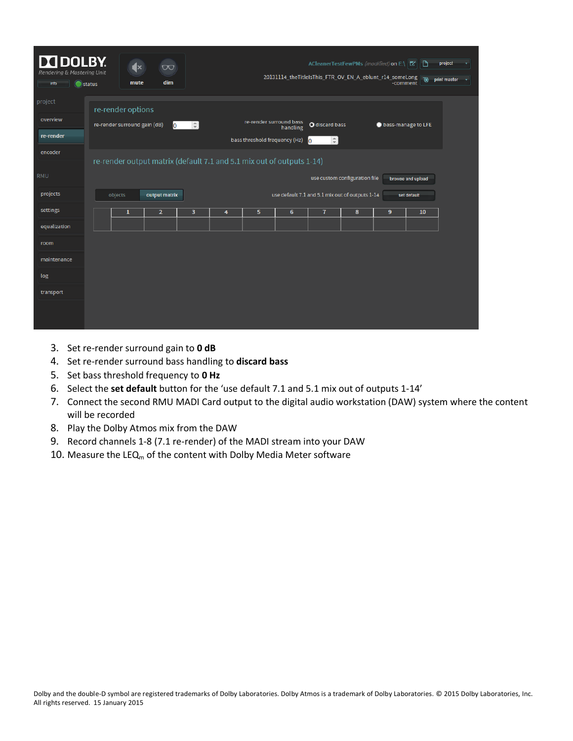| <b>N</b> DOLBY.<br>Rendering & Mastering Unit<br>info | <b>O</b> status | $\mathbf{R}$<br>mute         | $\infty$<br>dim                                                       |        |   |                               | 20131114_theTitleIsThis_FTR_OV_EN_A_eblunt_r14_someLong |                                     |                               | ACleanerTestFewPMs (modified) on E:\ Z<br>-comment | ۱D<br><b>⊕</b>    | project<br>۰<br>print master<br>٠ |
|-------------------------------------------------------|-----------------|------------------------------|-----------------------------------------------------------------------|--------|---|-------------------------------|---------------------------------------------------------|-------------------------------------|-------------------------------|----------------------------------------------------|-------------------|-----------------------------------|
| project                                               |                 | re-render options            |                                                                       |        |   |                               |                                                         |                                     |                               |                                                    |                   |                                   |
| overview                                              |                 | re-render surround gain (dB) | <b>lo</b>                                                             | $\div$ |   | re-render surround bass       | handling                                                | O discard bass                      |                               | to bass-manage to LFE                              |                   |                                   |
| re-render                                             |                 |                              |                                                                       |        |   | bass threshold frequency (Hz) |                                                         | $\left  \frac{1}{2} \right $<br>lo. |                               |                                                    |                   |                                   |
| encoder                                               |                 |                              | re-render output matrix (default 7.1 and 5.1 mix out of outputs 1-14) |        |   |                               |                                                         |                                     |                               |                                                    |                   |                                   |
| <b>RMU</b>                                            |                 |                              |                                                                       |        |   |                               |                                                         |                                     | use custom configuration file |                                                    | browse and upload |                                   |
| projects                                              |                 | objects                      | output matrix                                                         |        |   |                               | use default 7.1 and 5.1 mix out of outputs 1-14         |                                     |                               |                                                    | set default       |                                   |
| settings                                              |                 | $\mathbf{1}$                 | $\overline{2}$                                                        | 3      | 4 | 5                             | 6                                                       | $\mathbf{7}$                        | 8                             | 9                                                  | 10                |                                   |
| equalization                                          |                 |                              |                                                                       |        |   |                               |                                                         |                                     |                               |                                                    |                   |                                   |
| room                                                  |                 |                              |                                                                       |        |   |                               |                                                         |                                     |                               |                                                    |                   |                                   |
| maintenance                                           |                 |                              |                                                                       |        |   |                               |                                                         |                                     |                               |                                                    |                   |                                   |
| log                                                   |                 |                              |                                                                       |        |   |                               |                                                         |                                     |                               |                                                    |                   |                                   |
| transport                                             |                 |                              |                                                                       |        |   |                               |                                                         |                                     |                               |                                                    |                   |                                   |
|                                                       |                 |                              |                                                                       |        |   |                               |                                                         |                                     |                               |                                                    |                   |                                   |

- 3. Set re-render surround gain to **0 dB**
- 4. Set re-render surround bass handling to **discard bass**
- 5. Set bass threshold frequency to **0 Hz**
- 6. Select the **set default** button for the 'use default 7.1 and 5.1 mix out of outputs 1-14'
- 7. Connect the second RMU MADI Card output to the digital audio workstation (DAW) system where the content will be recorded
- 8. Play the Dolby Atmos mix from the DAW
- 9. Record channels 1-8 (7.1 re-render) of the MADI stream into your DAW
- 10. Measure the LEQ<sub>m</sub> of the content with Dolby Media Meter software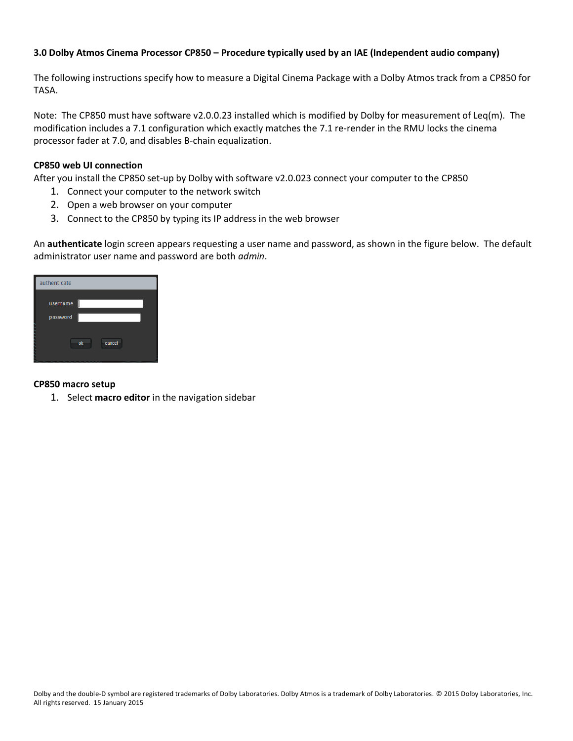#### **3.0 Dolby Atmos Cinema Processor CP850 – Procedure typically used by an IAE (Independent audio company)**

The following instructions specify how to measure a Digital Cinema Package with a Dolby Atmos track from a CP850 for TASA.

Note: The CP850 must have software v2.0.0.23 installed which is modified by Dolby for measurement of Leq(m). The modification includes a 7.1 configuration which exactly matches the 7.1 re-render in the RMU locks the cinema processor fader at 7.0, and disables B-chain equalization.

#### **CP850 web UI connection**

After you install the CP850 set-up by Dolby with software v2.0.023 connect your computer to the CP850

- 1. Connect your computer to the network switch
- 2. Open a web browser on your computer
- 3. Connect to the CP850 by typing its IP address in the web browser

An **authenticate** login screen appears requesting a user name and password, as shown in the figure below. The default administrator user name and password are both *admin*.

| authenticate         |              |  |
|----------------------|--------------|--|
| username<br>password |              |  |
|                      | cancel<br>ok |  |

#### **CP850 macro setup**

1. Select **macro editor** in the navigation sidebar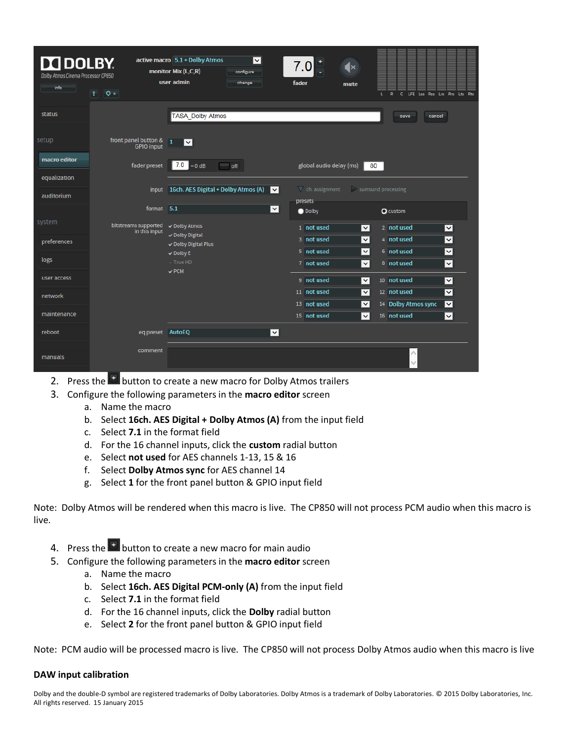| <b>DE DOLBY.</b><br>Dolby Atmos Cinema Processor CP850<br>info | $\vert \textbf{1} \vert$ $\vert \textbf{Q} \succ \vert$ | active macro 5.1 + Dolby Atmos<br>$\overline{\mathbf{v}}$<br>monitor Mix (L,C,R)<br>configure<br>user admin<br>change | fader                                                                | lx<br>mute<br>LFE Lss Rss Lrs Rrs Lts Rts<br>$\mathbb{R}$<br>$\mathbf{C}$<br>τ |  |
|----------------------------------------------------------------|---------------------------------------------------------|-----------------------------------------------------------------------------------------------------------------------|----------------------------------------------------------------------|--------------------------------------------------------------------------------|--|
| status                                                         |                                                         | <b>TASA Dolby Atmos</b>                                                                                               |                                                                      | cancel<br>save                                                                 |  |
| setup                                                          | front panel button & $\boxed{1}$<br><b>GPIO</b> input   | $\checkmark$                                                                                                          |                                                                      |                                                                                |  |
| macro editor                                                   | fader preset                                            | $7.0 = 0 dB$<br>off                                                                                                   | global audio delay (ms)                                              | 80                                                                             |  |
| equalization                                                   |                                                         |                                                                                                                       |                                                                      |                                                                                |  |
| auditorium                                                     |                                                         | input   16ch. AES Digital + Dolby Atmos (A)                                                                           | $\triangledown$ ch. assignment<br>$\overline{\mathbf{v}}$<br>presets | surround processing                                                            |  |
|                                                                | format 5.1                                              |                                                                                                                       | $\blacktriangledown$<br><b>O</b> Dolby                               | <b>Q</b> custom                                                                |  |
| system                                                         | bitstreams supported<br>in this input                   | ✓ Dolby Atmos                                                                                                         | 1 not used                                                           | 2 not used<br>$\blacktriangledown$<br>$\overline{\mathbf{v}}$                  |  |
| preferences                                                    |                                                         | ↓ Dolby Digital<br>√ Dolby Digital Plus                                                                               | 3 not used                                                           | $\overline{\mathbf{v}}$<br>$\overline{\mathbf{v}}$<br>4 not used               |  |
| logs                                                           |                                                         | $\checkmark$ Dolby E                                                                                                  | 5 not used                                                           | $\blacktriangledown$<br>$\overline{\mathbf{v}}$<br>6 not used                  |  |
|                                                                |                                                         | - True HD<br>$\checkmark$ PCM                                                                                         | 7 not used                                                           | $\checkmark$<br>8 not used<br>$\blacktriangledown$                             |  |
| user access                                                    |                                                         |                                                                                                                       | 9 not used                                                           | 10 not used<br>$\overline{\mathsf{v}}$<br>$\overline{\mathsf{v}}$              |  |
| network                                                        |                                                         |                                                                                                                       | 11 not used                                                          | 12 not used<br>$\overline{\mathbf{v}}$<br>$\blacktriangledown$                 |  |
| maintenance                                                    |                                                         |                                                                                                                       | 13 not used                                                          | $\overline{\mathbf{v}}$<br>$\overline{\mathbf{v}}$<br>14 Dolby Atmos sync      |  |
|                                                                |                                                         |                                                                                                                       | 15 not used                                                          | $\checkmark$<br>16 not used<br>$\checkmark$                                    |  |
| reboot                                                         | eq preset AutoEQ                                        |                                                                                                                       | $\overline{\phantom{0}}$                                             |                                                                                |  |
| manuals                                                        | comment                                                 |                                                                                                                       |                                                                      | Λ                                                                              |  |

- 2. Press the  $\mathbb{F}$  button to create a new macro for Dolby Atmos trailers
- 3. Configure the following parameters in the **macro editor** screen
	- a. Name the macro
	- b. Select **16ch. AES Digital + Dolby Atmos (A)** from the input field
	- c. Select **7.1** in the format field
	- d. For the 16 channel inputs, click the **custom** radial button
	- e. Select **not used** for AES channels 1-13, 15 & 16
	- f. Select **Dolby Atmos sync** for AES channel 14
	- g. Select **1** for the front panel button & GPIO input field

Note: Dolby Atmos will be rendered when this macro is live. The CP850 will not process PCM audio when this macro is live.

- 4. Press the **button to create a new macro for main audio**
- 5. Configure the following parameters in the **macro editor** screen
	- a. Name the macro
	- b. Select **16ch. AES Digital PCM-only (A)** from the input field
	- c. Select **7.1** in the format field
	- d. For the 16 channel inputs, click the **Dolby** radial button
	- e. Select **2** for the front panel button & GPIO input field

Note: PCM audio will be processed macro is live. The CP850 will not process Dolby Atmos audio when this macro is live

#### **DAW input calibration**

Dolby and the double-D symbol are registered trademarks of Dolby Laboratories. Dolby Atmos is a trademark of Dolby Laboratories. © 2015 Dolby Laboratories, Inc. All rights reserved. 15 January 2015